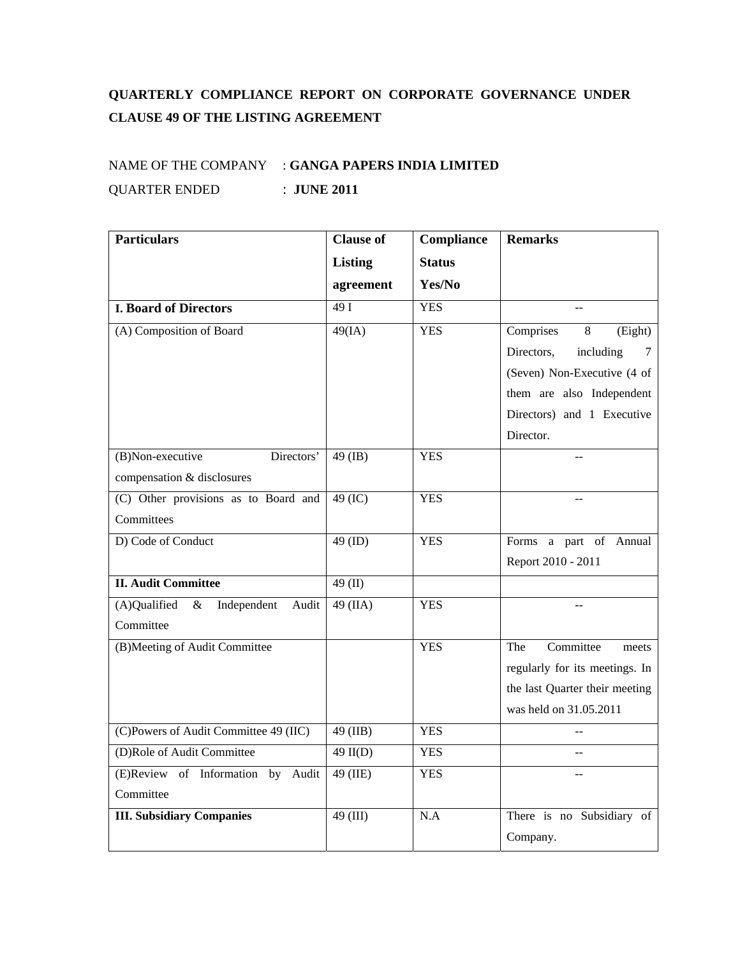## **QUARTERLY COMPLIANCE REPORT ON CORPORATE GOVERNANCE UNDER CLAUSE 49 OF THE LISTING AGREEMENT**

## NAME OF THE COMPANY : **GANGA PAPERS INDIA LIMITED** QUARTER ENDED : **JUNE 2011**

| <b>Particulars</b>                           | <b>Clause of</b> | Compliance    | <b>Remarks</b>                 |
|----------------------------------------------|------------------|---------------|--------------------------------|
|                                              | <b>Listing</b>   | <b>Status</b> |                                |
|                                              | agreement        | Yes/No        |                                |
| <b>I. Board of Directors</b>                 | 49I              | <b>YES</b>    |                                |
| (A) Composition of Board                     | 49(IA)           | <b>YES</b>    | Comprises<br>8<br>(Eight)      |
|                                              |                  |               | Directors,<br>including<br>7   |
|                                              |                  |               | (Seven) Non-Executive (4 of    |
|                                              |                  |               | them are also Independent      |
|                                              |                  |               | Directors) and 1 Executive     |
|                                              |                  |               | Director.                      |
| Directors'<br>(B)Non-executive               | 49 (IB)          | <b>YES</b>    |                                |
| compensation & disclosures                   |                  |               |                                |
| (C) Other provisions as to Board and         | 49 (IC)          | <b>YES</b>    |                                |
| Committees                                   |                  |               |                                |
| D) Code of Conduct                           | $49$ (ID)        | <b>YES</b>    | Forms a part of Annual         |
|                                              |                  |               | Report 2010 - 2011             |
| <b>II. Audit Committee</b>                   | 49 $(II)$        |               |                                |
| (A)Qualified<br>Independent<br>$\&$<br>Audit | 49 (IIA)         | <b>YES</b>    |                                |
| Committee                                    |                  |               |                                |
| (B)Meeting of Audit Committee                |                  | <b>YES</b>    | Committee<br>The<br>meets      |
|                                              |                  |               | regularly for its meetings. In |
|                                              |                  |               | the last Quarter their meeting |
|                                              |                  |               | was held on 31.05.2011         |
| (C)Powers of Audit Committee 49 (IIC)        | 49 (IIB)         | <b>YES</b>    |                                |
| (D)Role of Audit Committee                   | $49$ II(D)       | <b>YES</b>    | --                             |
| (E)Review of Information by<br>Audit         | 49 (IIE)         | <b>YES</b>    |                                |
| Committee                                    |                  |               |                                |
| <b>III. Subsidiary Companies</b>             | 49 (III)         | N.A           | There is no Subsidiary of      |
|                                              |                  |               | Company.                       |